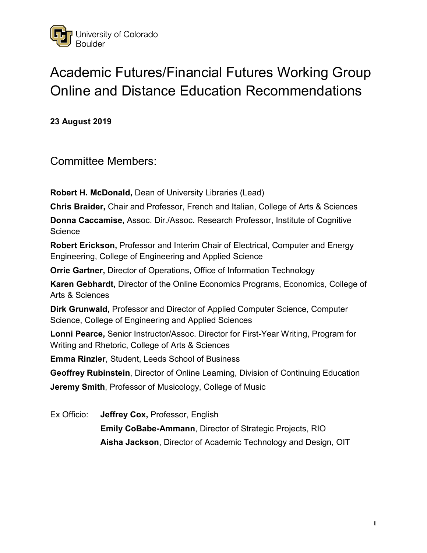

# Academic Futures/Financial Futures Working Group Online and Distance Education Recommendations

**23 August 2019**

Committee Members:

**Robert H. McDonald,** Dean of University Libraries (Lead)

**Chris Braider,** Chair and Professor, French and Italian, College of Arts & Sciences

**Donna Caccamise,** Assoc. Dir./Assoc. Research Professor, Institute of Cognitive **Science** 

**Robert Erickson,** Professor and Interim Chair of Electrical, Computer and Energy Engineering, College of Engineering and Applied Science

**Orrie Gartner,** Director of Operations, Office of Information Technology

**Karen Gebhardt,** Director of the Online Economics Programs, Economics, College of Arts & Sciences

**Dirk Grunwald,** Professor and Director of Applied Computer Science, Computer Science, College of Engineering and Applied Sciences

**Lonni Pearce,** Senior Instructor/Assoc. Director for First-Year Writing, Program for Writing and Rhetoric, College of Arts & Sciences

**Emma Rinzler**, Student, Leeds School of Business

**Geoffrey Rubinstein**, Director of Online Learning, Division of Continuing Education **Jeremy Smith**, Professor of Musicology, College of Music

Ex Officio: **Jeffrey Cox,** Professor, English **Emily CoBabe-Ammann**, Director of Strategic Projects, RIO **Aisha Jackson**, Director of Academic Technology and Design, OIT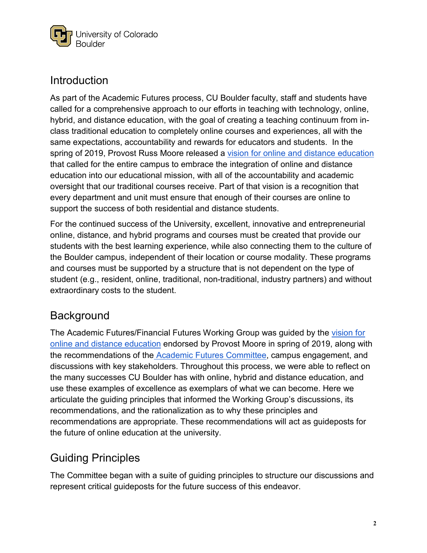

## Introduction

As part of the Academic Futures process, CU Boulder faculty, staff and students have called for a comprehensive approach to our efforts in teaching with technology, online, hybrid, and distance education, with the goal of creating a teaching continuum from inclass traditional education to completely online courses and experiences, all with the same expectations, accountability and rewards for educators and students. In the spring of 2019, Provost Russ Moore rele[a](https://www.colorado.edu/academicfutures/sites/default/files/attached-files/online_philosophy.pdf)sed a [vision for online and distance education](https://www.colorado.edu/academicfutures/sites/default/files/attached-files/online_philosophy.pdf) that called for the entire campus to embrace the integration of online and distance education into our educational mission, with all of the accountability and academic oversight that our traditional courses receive. Part of that vision is a recognition that every department and unit must ensure that enough of their courses are online to support the success of both residential and distance students.

For the continued success of the University, excellent, innovative and entrepreneurial online, distance, and hybrid programs and courses must be created that provide our students with the best learning experience, while also connecting them to the culture of the Boulder campus, independent of their location or course modality. These programs and courses must be supported by a structure that is not dependent on the type of student (e.g., resident, online, traditional, non-traditional, industry partners) and without extraordinary costs to the student.

# **Background**

The Academic Futures/Financial Futures Working Group was guided by the [vision for](https://www.colorado.edu/academicfutures/sites/default/files/attached-files/online_philosophy.pdf)  [online and distance education](https://www.colorado.edu/academicfutures/sites/default/files/attached-files/online_philosophy.pdf) endorsed by Provost Moore in spring of 2019, along with the recommendations of the [Academic Futures Committee,](https://www.colorado.edu/academicfutures/sites/default/files/attached-files/academic_futures_report_100118_final.pdf) campus engagement, and discussions with key stakeholders. Throughout this process, we were able to reflect on the many successes CU Boulder has with online, hybrid and distance education, and use these examples of excellence as exemplars of what we can become. Here we articulate the guiding principles that informed the Working Group's discussions, its recommendations, and the rationalization as to why these principles and recommendations are appropriate. These recommendations will act as guideposts for the future of online education at the university.

# Guiding Principles

The Committee began with a suite of guiding principles to structure our discussions and represent critical guideposts for the future success of this endeavor.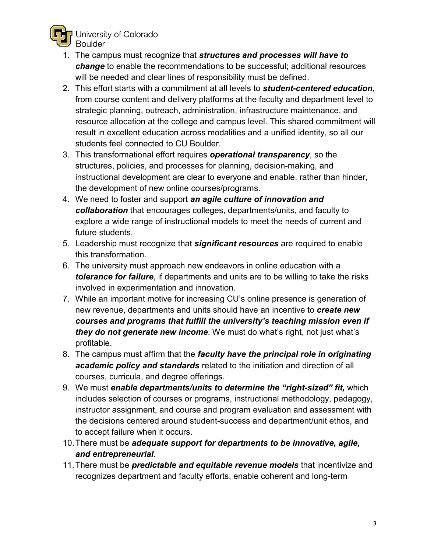

- 1. The campus must recognize that *structures and processes will have to change* to enable the recommendations to be successful; additional resources will be needed and clear lines of responsibility must be defined.
- 2. This effort starts with a commitment at all levels to *student-centered education*, from course content and delivery platforms at the faculty and department level to strategic planning, outreach, administration, infrastructure maintenance, and resource allocation at the college and campus level. This shared commitment will result in excellent education across modalities and a unified identity, so all our students feel connected to CU Boulder.
- 3. This transformational effort requires *operational transparency*, so the structures, policies, and processes for planning, decision-making, and instructional development are clear to everyone and enable, rather than hinder, the development of new online courses/programs.
- 4. We need to foster and support *an agile culture of innovation and collaboration* that encourages colleges, departments/units, and faculty to explore a wide range of instructional models to meet the needs of current and future students.
- 5. Leadership must recognize that *significant resources* are required to enable this transformation.
- 6. The university must approach new endeavors in online education with a *tolerance for failure*, if departments and units are to be willing to take the risks involved in experimentation and innovation.
- 7. While an important motive for increasing CU's online presence is generation of new revenue, departments and units should have an incentive to *create new courses and programs that fulfill the university's teaching mission even if they do not generate new income*. We must do what's right, not just what's profitable.
- 8. The campus must affirm that the *faculty have the principal role in originating academic policy and standards* related to the initiation and direction of all courses, curricula, and degree offerings.
- 9. We must *enable departments/units to determine the "right-sized" fit,* which includes selection of courses or programs, instructional methodology, pedagogy, instructor assignment, and course and program evaluation and assessment with the decisions centered around student-success and department/unit ethos, and to accept failure when it occurs.
- 10.There must be *adequate support for departments to be innovative, agile, and entrepreneurial*.
- 11.There must be *predictable and equitable revenue models* that incentivize and recognizes department and faculty efforts, enable coherent and long-term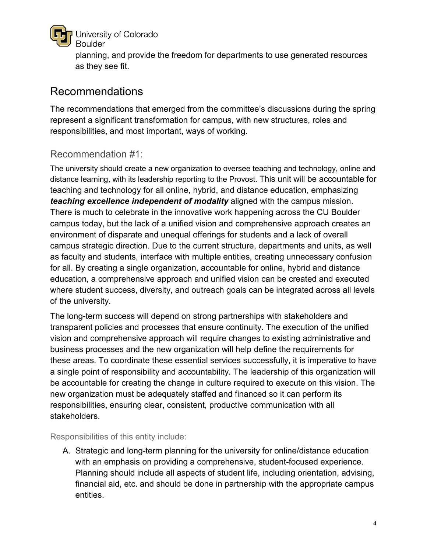

University of Colorado **Boulder** 

planning, and provide the freedom for departments to use generated resources as they see fit.

## Recommendations

The recommendations that emerged from the committee's discussions during the spring represent a significant transformation for campus, with new structures, roles and responsibilities, and most important, ways of working.

## Recommendation #1:

The university should create a new organization to oversee teaching and technology, online and distance learning, with its leadership reporting to the Provost. This unit will be accountable for teaching and technology for all online, hybrid, and distance education, emphasizing *teaching excellence independent of modality* aligned with the campus mission. There is much to celebrate in the innovative work happening across the CU Boulder campus today, but the lack of a unified vision and comprehensive approach creates an environment of disparate and unequal offerings for students and a lack of overall campus strategic direction. Due to the current structure, departments and units, as well as faculty and students, interface with multiple entities, creating unnecessary confusion for all. By creating a single organization, accountable for online, hybrid and distance education, a comprehensive approach and unified vision can be created and executed where student success, diversity, and outreach goals can be integrated across all levels of the university.

The long-term success will depend on strong partnerships with stakeholders and transparent policies and processes that ensure continuity. The execution of the unified vision and comprehensive approach will require changes to existing administrative and business processes and the new organization will help define the requirements for these areas. To coordinate these essential services successfully, it is imperative to have a single point of responsibility and accountability. The leadership of this organization will be accountable for creating the change in culture required to execute on this vision. The new organization must be adequately staffed and financed so it can perform its responsibilities, ensuring clear, consistent, productive communication with all stakeholders.

Responsibilities of this entity include:

A. Strategic and long-term planning for the university for online/distance education with an emphasis on providing a comprehensive, student-focused experience. Planning should include all aspects of student life, including orientation, advising, financial aid, etc. and should be done in partnership with the appropriate campus entities.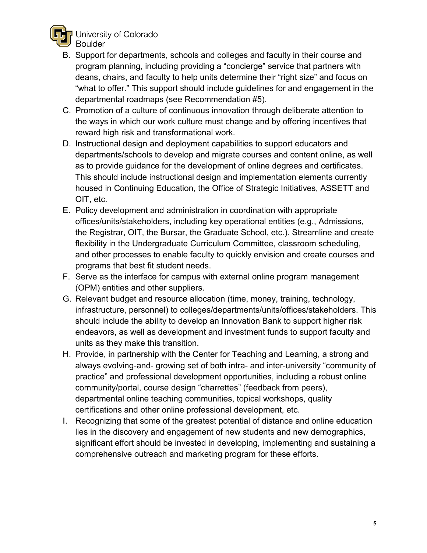

University of Colorado

- B. Support for departments, schools and colleges and faculty in their course and program planning, including providing a "concierge" service that partners with deans, chairs, and faculty to help units determine their "right size" and focus on "what to offer." This support should include guidelines for and engagement in the departmental roadmaps (see Recommendation #5).
- C. Promotion of a culture of continuous innovation through deliberate attention to the ways in which our work culture must change and by offering incentives that reward high risk and transformational work.
- D. Instructional design and deployment capabilities to support educators and departments/schools to develop and migrate courses and content online, as well as to provide guidance for the development of online degrees and certificates. This should include instructional design and implementation elements currently housed in Continuing Education, the Office of Strategic Initiatives, ASSETT and OIT, etc.
- E. Policy development and administration in coordination with appropriate offices/units/stakeholders, including key operational entities (e.g., Admissions, the Registrar, OIT, the Bursar, the Graduate School, etc.). Streamline and create flexibility in the Undergraduate Curriculum Committee, classroom scheduling, and other processes to enable faculty to quickly envision and create courses and programs that best fit student needs.
- F. Serve as the interface for campus with external online program management (OPM) entities and other suppliers.
- G. Relevant budget and resource allocation (time, money, training, technology, infrastructure, personnel) to colleges/departments/units/offices/stakeholders. This should include the ability to develop an Innovation Bank to support higher risk endeavors, as well as development and investment funds to support faculty and units as they make this transition.
- H. Provide, in partnership with the Center for Teaching and Learning, a strong and always evolving-and- growing set of both intra- and inter-university "community of practice" and professional development opportunities, including a robust online community/portal, course design "charrettes" (feedback from peers), departmental online teaching communities, topical workshops, quality certifications and other online professional development, etc.
- I. Recognizing that some of the greatest potential of distance and online education lies in the discovery and engagement of new students and new demographics, significant effort should be invested in developing, implementing and sustaining a comprehensive outreach and marketing program for these efforts.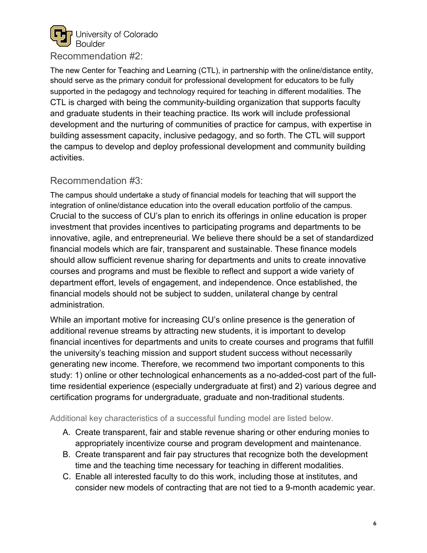

Recommendation #2:

The new Center for Teaching and Learning (CTL), in partnership with the online/distance entity, should serve as the primary conduit for professional development for educators to be fully supported in the pedagogy and technology required for teaching in different modalities. The CTL is charged with being the community-building organization that supports faculty and graduate students in their teaching practice. Its work will include professional development and the nurturing of communities of practice for campus, with expertise in building assessment capacity, inclusive pedagogy, and so forth. The CTL will support the campus to develop and deploy professional development and community building activities.

#### Recommendation #3:

The campus should undertake a study of financial models for teaching that will support the integration of online/distance education into the overall education portfolio of the campus. Crucial to the success of CU's plan to enrich its offerings in online education is proper investment that provides incentives to participating programs and departments to be innovative, agile, and entrepreneurial. We believe there should be a set of standardized financial models which are fair, transparent and sustainable. These finance models should allow sufficient revenue sharing for departments and units to create innovative courses and programs and must be flexible to reflect and support a wide variety of department effort, levels of engagement, and independence. Once established, the financial models should not be subject to sudden, unilateral change by central administration.

While an important motive for increasing CU's online presence is the generation of additional revenue streams by attracting new students, it is important to develop financial incentives for departments and units to create courses and programs that fulfill the university's teaching mission and support student success without necessarily generating new income. Therefore, we recommend two important components to this study: 1) online or other technological enhancements as a no-added-cost part of the fulltime residential experience (especially undergraduate at first) and 2) various degree and certification programs for undergraduate, graduate and non-traditional students.

Additional key characteristics of a successful funding model are listed below.

- A. Create transparent, fair and stable revenue sharing or other enduring monies to appropriately incentivize course and program development and maintenance.
- B. Create transparent and fair pay structures that recognize both the development time and the teaching time necessary for teaching in different modalities.
- C. Enable all interested faculty to do this work, including those at institutes, and consider new models of contracting that are not tied to a 9-month academic year.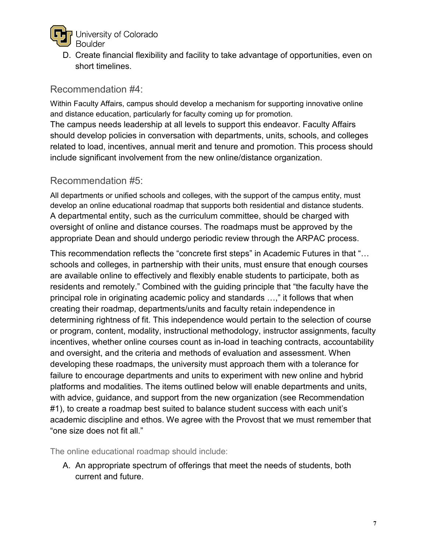

D. Create financial flexibility and facility to take advantage of opportunities, even on short timelines.

#### Recommendation #4:

Within Faculty Affairs, campus should develop a mechanism for supporting innovative online and distance education, particularly for faculty coming up for promotion. The campus needs leadership at all levels to support this endeavor. Faculty Affairs

should develop policies in conversation with departments, units, schools, and colleges related to load, incentives, annual merit and tenure and promotion. This process should include significant involvement from the new online/distance organization.

### Recommendation #5:

All departments or unified schools and colleges, with the support of the campus entity, must develop an online educational roadmap that supports both residential and distance students. A departmental entity, such as the curriculum committee, should be charged with oversight of online and distance courses. The roadmaps must be approved by the appropriate Dean and should undergo periodic review through the ARPAC process.

This recommendation reflects the "concrete first steps" in Academic Futures in that "… schools and colleges, in partnership with their units, must ensure that enough courses are available online to effectively and flexibly enable students to participate, both as residents and remotely." Combined with the guiding principle that "the faculty have the principal role in originating academic policy and standards …," it follows that when creating their roadmap, departments/units and faculty retain independence in determining rightness of fit. This independence would pertain to the selection of course or program, content, modality, instructional methodology, instructor assignments, faculty incentives, whether online courses count as in-load in teaching contracts, accountability and oversight, and the criteria and methods of evaluation and assessment. When developing these roadmaps, the university must approach them with a tolerance for failure to encourage departments and units to experiment with new online and hybrid platforms and modalities. The items outlined below will enable departments and units, with advice, guidance, and support from the new organization (see Recommendation #1), to create a roadmap best suited to balance student success with each unit's academic discipline and ethos. We agree with the Provost that we must remember that "one size does not fit all."

The online educational roadmap should include:

A. An appropriate spectrum of offerings that meet the needs of students, both current and future.